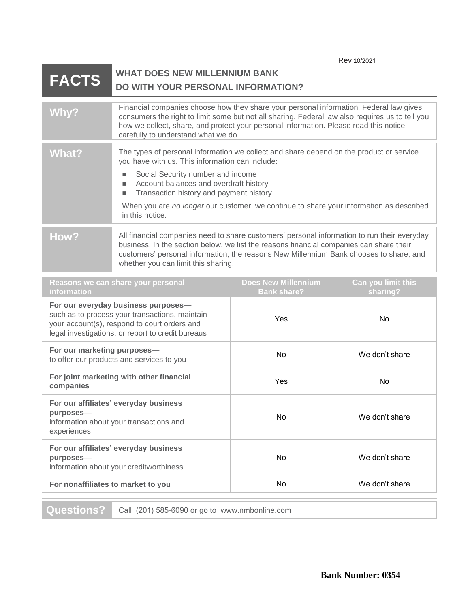| Rev 10/2021 |  |
|-------------|--|
|             |  |

## **FACTS** WHAT DOES NEW MILLENNIUM BANK **DO WITH YOUR PERSONAL INFORMATION?**

| Why?                                                                                                                                                                                                                                                                                                                                                                                                                           | Financial companies choose how they share your personal information. Federal law gives<br>consumers the right to limit some but not all sharing. Federal law also requires us to tell you<br>how we collect, share, and protect your personal information. Please read this notice<br>carefully to understand what we do. |                                                  |                                |
|--------------------------------------------------------------------------------------------------------------------------------------------------------------------------------------------------------------------------------------------------------------------------------------------------------------------------------------------------------------------------------------------------------------------------------|---------------------------------------------------------------------------------------------------------------------------------------------------------------------------------------------------------------------------------------------------------------------------------------------------------------------------|--------------------------------------------------|--------------------------------|
| <b>What?</b><br>The types of personal information we collect and share depend on the product or service<br>you have with us. This information can include:<br>Social Security number and income<br>п<br>Account balances and overdraft history<br>٠<br>Transaction history and payment history<br>$\blacksquare$<br>When you are no longer our customer, we continue to share your information as described<br>in this notice. |                                                                                                                                                                                                                                                                                                                           |                                                  |                                |
| How?<br>All financial companies need to share customers' personal information to run their everyday<br>business. In the section below, we list the reasons financial companies can share their<br>customers' personal information; the reasons New Millennium Bank chooses to share; and<br>whether you can limit this sharing.                                                                                                |                                                                                                                                                                                                                                                                                                                           |                                                  |                                |
| Reasons we can share your personal<br>information                                                                                                                                                                                                                                                                                                                                                                              |                                                                                                                                                                                                                                                                                                                           | <b>Does New Millennium</b><br><b>Bank share?</b> | Can you limit this<br>sharing? |
| For our everyday business purposes-<br>such as to process your transactions, maintain<br>your account(s), respond to court orders and<br>legal investigations, or report to credit bureaus                                                                                                                                                                                                                                     |                                                                                                                                                                                                                                                                                                                           | Yes                                              | <b>No</b>                      |
| For our marketing purposes-<br>to offer our products and services to you                                                                                                                                                                                                                                                                                                                                                       |                                                                                                                                                                                                                                                                                                                           | No                                               | We don't share                 |
| For joint marketing with other financial<br>companies                                                                                                                                                                                                                                                                                                                                                                          |                                                                                                                                                                                                                                                                                                                           | Yes                                              | <b>No</b>                      |
| For our affiliates' everyday business<br>purposes-<br>information about your transactions and<br>experiences                                                                                                                                                                                                                                                                                                                   |                                                                                                                                                                                                                                                                                                                           | No.                                              | We don't share                 |
| For our affiliates' everyday business<br>purposes-<br>information about your creditworthiness                                                                                                                                                                                                                                                                                                                                  |                                                                                                                                                                                                                                                                                                                           | No.                                              | We don't share                 |
| For nonaffiliates to market to you                                                                                                                                                                                                                                                                                                                                                                                             |                                                                                                                                                                                                                                                                                                                           | No.                                              | We don't share                 |

**Questions?** Call (201) 585-6090 or go to www.nmbonline.com